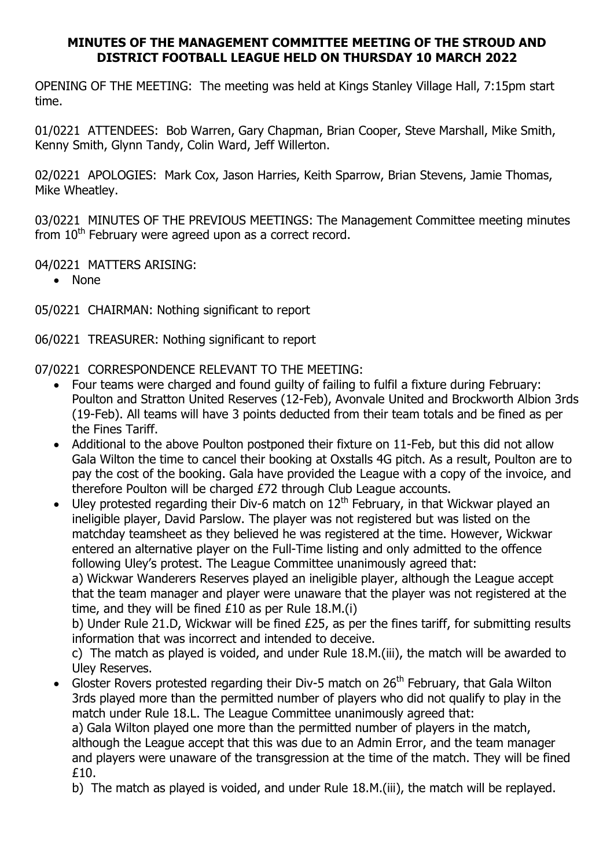## MINUTES OF THE MANAGEMENT COMMITTEE MEETING OF THE STROUD AND DISTRICT FOOTBALL LEAGUE HELD ON THURSDAY 10 MARCH 2022

OPENING OF THE MEETING: The meeting was held at Kings Stanley Village Hall, 7:15pm start time.

01/0221 ATTENDEES: Bob Warren, Gary Chapman, Brian Cooper, Steve Marshall, Mike Smith, Kenny Smith, Glynn Tandy, Colin Ward, Jeff Willerton.

02/0221 APOLOGIES: Mark Cox, Jason Harries, Keith Sparrow, Brian Stevens, Jamie Thomas, Mike Wheatley.

03/0221 MINUTES OF THE PREVIOUS MEETINGS: The Management Committee meeting minutes from  $10<sup>th</sup>$  February were agreed upon as a correct record.

04/0221 MATTERS ARISING:

• None

05/0221 CHAIRMAN: Nothing significant to report

06/0221 TREASURER: Nothing significant to report

07/0221 CORRESPONDENCE RELEVANT TO THE MEETING:

- Four teams were charged and found guilty of failing to fulfil a fixture during February: Poulton and Stratton United Reserves (12-Feb), Avonvale United and Brockworth Albion 3rds (19-Feb). All teams will have 3 points deducted from their team totals and be fined as per the Fines Tariff.
- Additional to the above Poulton postponed their fixture on 11-Feb, but this did not allow Gala Wilton the time to cancel their booking at Oxstalls 4G pitch. As a result, Poulton are to pay the cost of the booking. Gala have provided the League with a copy of the invoice, and therefore Poulton will be charged £72 through Club League accounts.

 $\bullet$  Uley protested regarding their Div-6 match on 12<sup>th</sup> February, in that Wickwar played an ineligible player, David Parslow. The player was not registered but was listed on the matchday teamsheet as they believed he was registered at the time. However, Wickwar entered an alternative player on the Full-Time listing and only admitted to the offence following Uley's protest. The League Committee unanimously agreed that:

a) Wickwar Wanderers Reserves played an ineligible player, although the League accept that the team manager and player were unaware that the player was not registered at the time, and they will be fined £10 as per Rule 18.M.(i)

b) Under Rule 21.D, Wickwar will be fined £25, as per the fines tariff, for submitting results information that was incorrect and intended to deceive.

c) The match as played is voided, and under Rule 18.M.(iii), the match will be awarded to Uley Reserves.

Gloster Rovers protested regarding their Div-5 match on 26<sup>th</sup> February, that Gala Wilton 3rds played more than the permitted number of players who did not qualify to play in the match under Rule 18.L. The League Committee unanimously agreed that:

a) Gala Wilton played one more than the permitted number of players in the match, although the League accept that this was due to an Admin Error, and the team manager and players were unaware of the transgression at the time of the match. They will be fined £10.

b) The match as played is voided, and under Rule 18.M.(iii), the match will be replayed.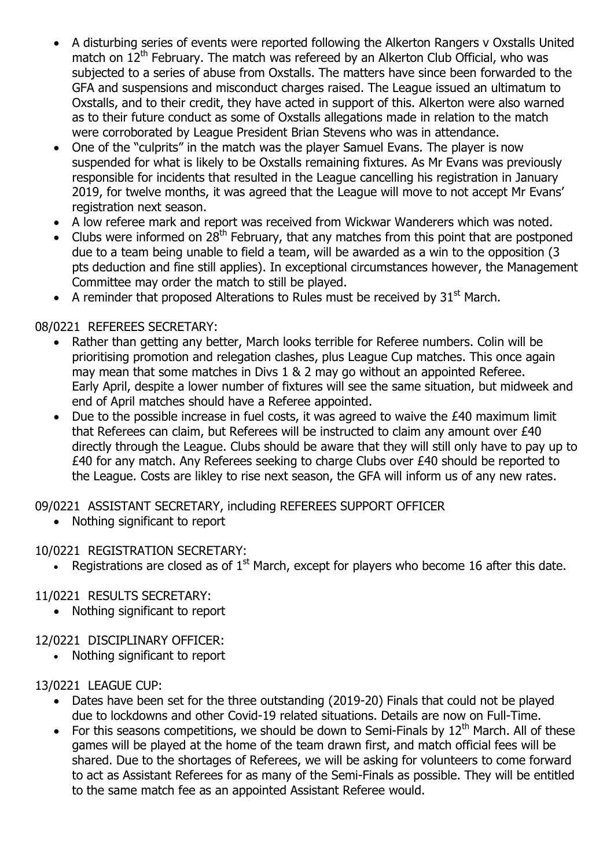- A disturbing series of events were reported following the Alkerton Rangers v Oxstalls United match on  $12<sup>th</sup>$  February. The match was refereed by an Alkerton Club Official, who was subjected to a series of abuse from Oxstalls. The matters have since been forwarded to the GFA and suspensions and misconduct charges raised. The League issued an ultimatum to Oxstalls, and to their credit, they have acted in support of this. Alkerton were also warned as to their future conduct as some of Oxstalls allegations made in relation to the match were corroborated by League President Brian Stevens who was in attendance.
- One of the "culprits" in the match was the player Samuel Evans. The player is now suspended for what is likely to be Oxstalls remaining fixtures. As Mr Evans was previously responsible for incidents that resulted in the League cancelling his registration in January 2019, for twelve months, it was agreed that the League will move to not accept Mr Evans' registration next season.
- A low referee mark and report was received from Wickwar Wanderers which was noted.
- Clubs were informed on 28th February, that any matches from this point that are postponed due to a team being unable to field a team, will be awarded as a win to the opposition (3 pts deduction and fine still applies). In exceptional circumstances however, the Management Committee may order the match to still be played.
- A reminder that proposed Alterations to Rules must be received by  $31<sup>st</sup>$  March.

# 08/0221 REFEREES SECRETARY:

- Rather than getting any better, March looks terrible for Referee numbers. Colin will be prioritising promotion and relegation clashes, plus League Cup matches. This once again may mean that some matches in Divs 1 & 2 may go without an appointed Referee. Early April, despite a lower number of fixtures will see the same situation, but midweek and end of April matches should have a Referee appointed.
- Due to the possible increase in fuel costs, it was agreed to waive the £40 maximum limit that Referees can claim, but Referees will be instructed to claim any amount over £40 directly through the League. Clubs should be aware that they will still only have to pay up to £40 for any match. Any Referees seeking to charge Clubs over £40 should be reported to the League. Costs are likley to rise next season, the GFA will inform us of any new rates.
- 09/0221 ASSISTANT SECRETARY, including REFEREES SUPPORT OFFICER
	- Nothing significant to report

# 10/0221 REGISTRATION SECRETARY:

• Registrations are closed as of  $1<sup>st</sup>$  March, except for players who become 16 after this date.

#### 11/0221 RESULTS SECRETARY:

• Nothing significant to report

## 12/0221 DISCIPLINARY OFFICER:

• Nothing significant to report

#### 13/0221 LEAGUE CUP:

- Dates have been set for the three outstanding (2019-20) Finals that could not be played due to lockdowns and other Covid-19 related situations. Details are now on Full-Time.
- For this seasons competitions, we should be down to Semi-Finals by  $12<sup>th</sup>$  March. All of these games will be played at the home of the team drawn first, and match official fees will be shared. Due to the shortages of Referees, we will be asking for volunteers to come forward to act as Assistant Referees for as many of the Semi-Finals as possible. They will be entitled to the same match fee as an appointed Assistant Referee would.